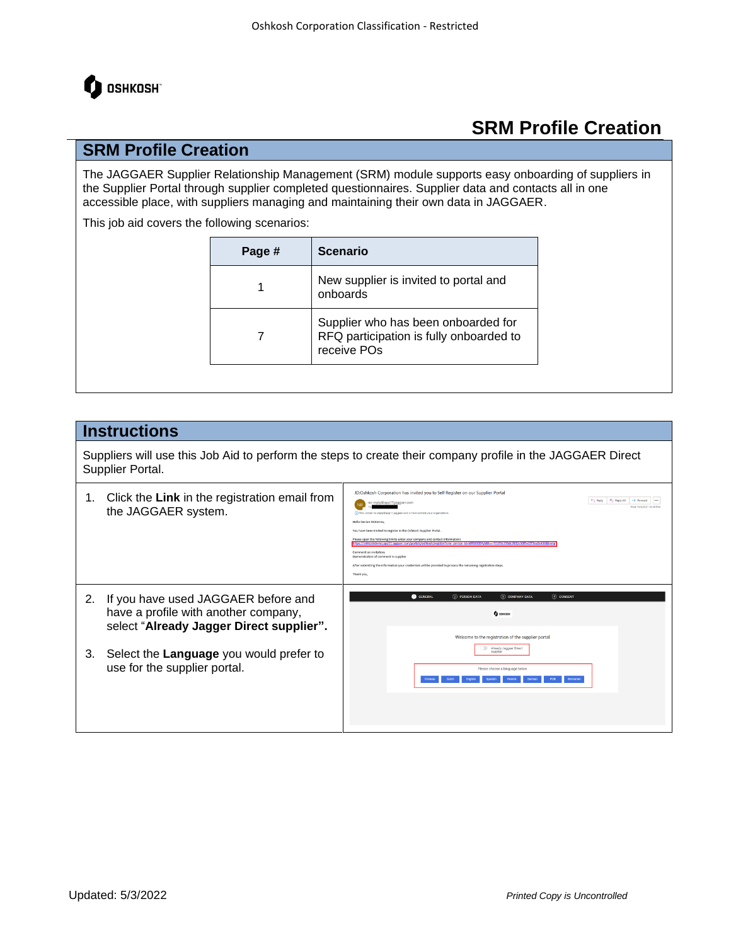

### **SRM Profile Creation**

The JAGGAER Supplier Relationship Management (SRM) module supports easy onboarding of suppliers in the Supplier Portal through supplier completed questionnaires. Supplier data and contacts all in one accessible place, with suppliers managing and maintaining their own data in JAGGAER.

This job aid covers the following scenarios:

| Page # | <b>Scenario</b>                                                                               |
|--------|-----------------------------------------------------------------------------------------------|
| 1      | New supplier is invited to portal and<br>onboards                                             |
|        | Supplier who has been onboarded for<br>RFQ participation is fully onboarded to<br>receive POs |

#### **Instructions**

Suppliers will use this Job Aid to perform the steps to create their company profile in the JAGGAER Direct Supplier Portal.

| 1. | Click the Link in the registration email from<br>the JAGGAER system.                                                    | JD:Oshkosh Corporation has invited you to Self Register on our Supplier Portal<br>Ephy   Keply All<br>$\rightarrow$ Forward<br>no-reply@app11.jaggaer.com<br>Wed 10/6/2021 12:36 PP<br>(1) This sender no-reply@app11.jaggaer.com is from outside your organization.<br>Hello Declan McKenna<br>You have been invited to register in the Oshkosh Supplier Portal.<br>Please open the following link to enter your company and contact information<br>mo.app11.japgaer.com/portals/oshkosh/register?crm_person_id=MTU0ODYyMA==-91195c738dc7832c58f5e22f2ea0c4<br>Comment on invitation:<br>Demonstration of comment to supplier<br>After submitting the information your credentials will be provided to process the remaining registration steps.<br>Thank you, |
|----|-------------------------------------------------------------------------------------------------------------------------|-----------------------------------------------------------------------------------------------------------------------------------------------------------------------------------------------------------------------------------------------------------------------------------------------------------------------------------------------------------------------------------------------------------------------------------------------------------------------------------------------------------------------------------------------------------------------------------------------------------------------------------------------------------------------------------------------------------------------------------------------------------------|
| 2. | If you have used JAGGAER before and<br>have a profile with another company,<br>select "Already Jagger Direct supplier". | <b>O</b> GENERAL<br>(4) CONSENT<br>$(2)$ PERSON DATA<br>(3) COMPANY DATA<br><b>Q</b> OSHKDSH<br>Welcome to the registration of the supplier portal                                                                                                                                                                                                                                                                                                                                                                                                                                                                                                                                                                                                              |
| 3. | Select the Language you would prefer to<br>use for the supplier portal.                                                 | Already Jaggaer Direct<br>supplier<br>Please choose a language below<br>Romanian                                                                                                                                                                                                                                                                                                                                                                                                                                                                                                                                                                                                                                                                                |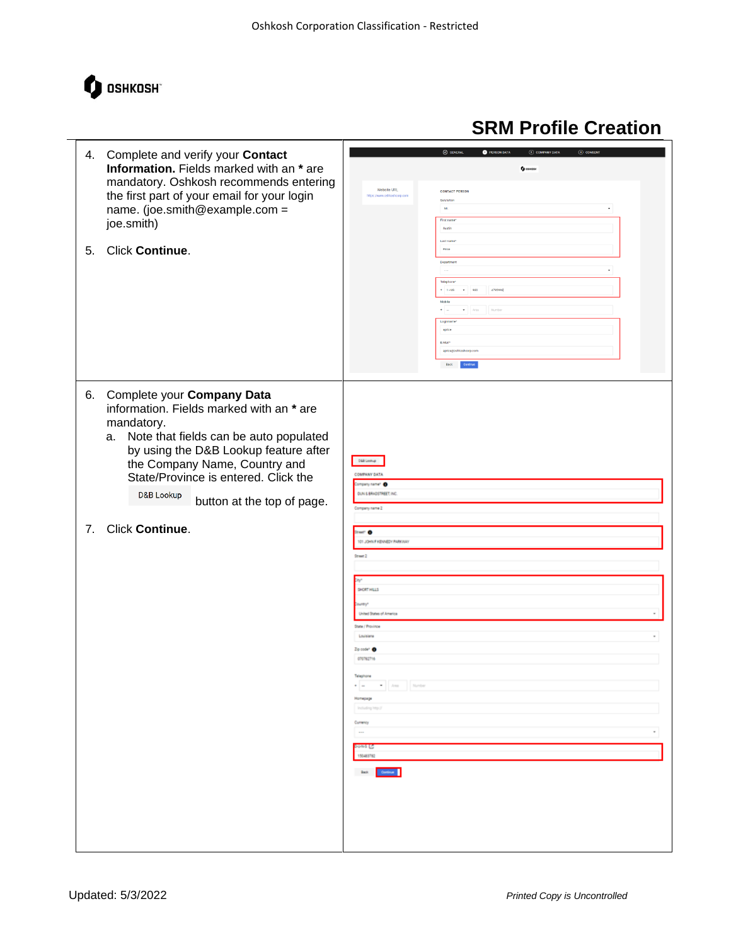

#### $\overline{\omega}$ **B** PERSON DATA 4. Complete and verify your **Contact Information.** Fields marked with an **\*** are  $\mathbf 0$  concom mandatory. Oshkosh recommends entering CONTACT RERSON the first part of your email for your login name. (joe.smith@example.com = joe.smith) 5. Click **Continue**. 920 4795992  $\bullet$  Area Number aprice .<br>Establi 6. Complete your **Company Data**  information. Fields marked with an **\*** are mandatory. a. Note that fields can be auto populated by using the D&B Lookup feature after  $\langle 0.014\,0.06\, \mu \rangle$ the Company Name, Country and **COMPANY DATA** State/Province is entered. Click the ny nameri **O** D&B Lookup DUN & BRADSTREET, INC. button at the top of page. mpany name 2 7. Click **Continue**.∝ o 101, JOHN F Street 2 SICRTHILLS ute / Louisia Zip code\* orenezhe  $\cdot$  -**Home Task Co** ÷,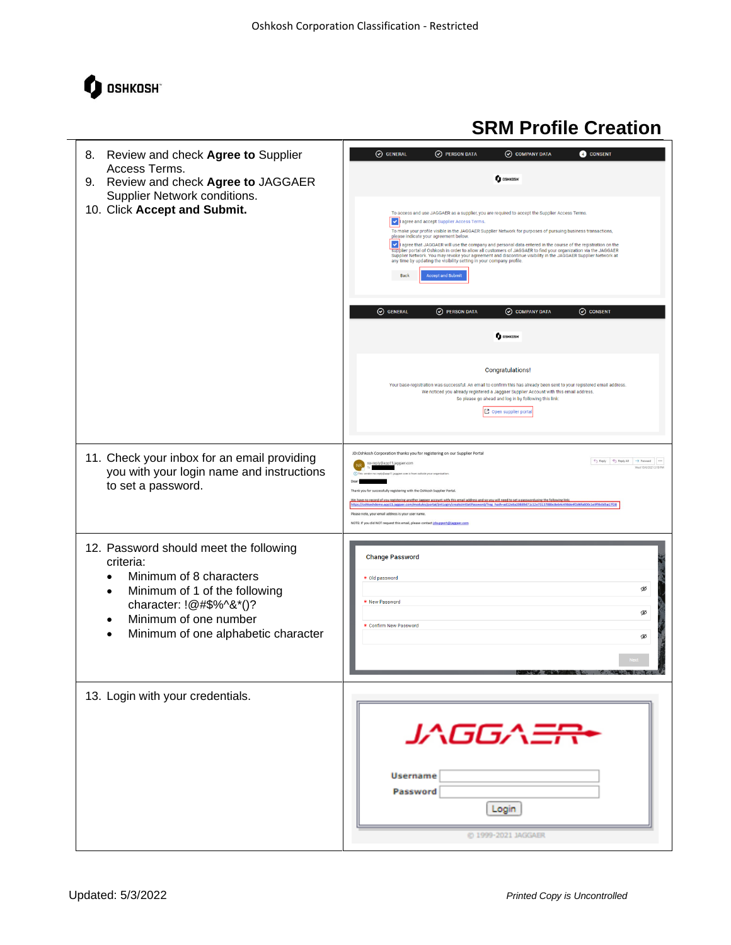

| Review and check Agree to Supplier<br>8.<br>Access Terms.<br>Review and check Agree to JAGGAER<br>9.                                                                                                                                 | O GENERAL<br>O PERSON DATA<br>O COMPANY DATA<br><b>CONSENT</b><br><b>to OSHKOSH</b>                                                                                                                                                                                                                                                                                                                                                                                                                                                                                                                                                                                                                                                                                                                                                               |  |  |
|--------------------------------------------------------------------------------------------------------------------------------------------------------------------------------------------------------------------------------------|---------------------------------------------------------------------------------------------------------------------------------------------------------------------------------------------------------------------------------------------------------------------------------------------------------------------------------------------------------------------------------------------------------------------------------------------------------------------------------------------------------------------------------------------------------------------------------------------------------------------------------------------------------------------------------------------------------------------------------------------------------------------------------------------------------------------------------------------------|--|--|
| Supplier Network conditions.<br>10. Click Accept and Submit.                                                                                                                                                                         | To access and use JAGGAER as a supplier, you are required to accept the Supplier Access Terms.<br>design a accept Supplier Access Terms.<br>To make your profile visible in the JAGGAER Supplier Network for purposes of pursuing business transactions,<br>please indicate your agreement below.<br>of agree that JAGGAER will use the company and personal data entered in the course of the registration on the<br>supplier portal of Oshkosh in order to allow all customers of JAGGAER to find your organization via the JAGGAER<br>Supplier Network. You may revoke your agreement and discontinue visibility in the JAGGAER Supplier Network at<br>any time by updating the visibility setting in your company profile.<br><b>Accept and Submit</b><br><b>Back</b>                                                                         |  |  |
|                                                                                                                                                                                                                                      | O GENERAL<br>O COMPANY DATA<br>O CONSENT<br>(V) PERSON DATA<br><b>O</b> OSHKOSH                                                                                                                                                                                                                                                                                                                                                                                                                                                                                                                                                                                                                                                                                                                                                                   |  |  |
|                                                                                                                                                                                                                                      |                                                                                                                                                                                                                                                                                                                                                                                                                                                                                                                                                                                                                                                                                                                                                                                                                                                   |  |  |
|                                                                                                                                                                                                                                      | Congratulations!<br>Your base-registration was successful. An email to confirm this has already been sent to your registered email address.<br>We noticed you already registered a Jaggaer Supplier Account with this email address.<br>So please go ahead and log in by following this link:<br>Open supplier porta                                                                                                                                                                                                                                                                                                                                                                                                                                                                                                                              |  |  |
| 11. Check your inbox for an email providing<br>you with your login name and instructions<br>to set a password.                                                                                                                       | JD:Oshkosh Corporation thanks you for registering on our Supplier Portal<br>$\begin{array}{ c c c c c }\hline \begin{array}{ccc} \bullet\ \end{array} & \bullet\ \end{array}$ Reply All $\begin{array}{ c c c c }\hline \end{array}$ Porward $\begin{array}{ c c c }\hline \begin{array}{ccc} \bullet\ \end{array} & \bullet\ \end{array}$<br>y@app11.jaggaer.com<br>Wed 10/6/2021 2:19 PM<br>Thank you for successfully registering with the Oshkosh Supplier Portal<br>We have no record of you registering another Jaggaer account with this email address and so you will need to set a passwordusing the following link:<br>https://oshkoshdemo.app11.jaggaer.com/modules/portal/jint.ogin/create/int<br>Please note, your email address is your user name.<br>NOTE: If you did NOT request this email, please contact idsupport@jaggaer.com |  |  |
| 12. Password should meet the following<br>criteria:<br>Minimum of 8 characters<br>$\bullet$<br>Minimum of 1 of the following<br>character: !@#\$%^&*()?<br>Minimum of one number<br>$\bullet$<br>Minimum of one alphabetic character | <b>Change Password</b><br>* Old password<br>Ø<br>* New Password<br>Ø<br>* Confirm New Password<br>Ø                                                                                                                                                                                                                                                                                                                                                                                                                                                                                                                                                                                                                                                                                                                                               |  |  |
| 13. Login with your credentials.                                                                                                                                                                                                     | JAGGA <del>ER</del><br><b>Username</b><br>Password<br>Login<br>@ 1999-2021 JAGGAER                                                                                                                                                                                                                                                                                                                                                                                                                                                                                                                                                                                                                                                                                                                                                                |  |  |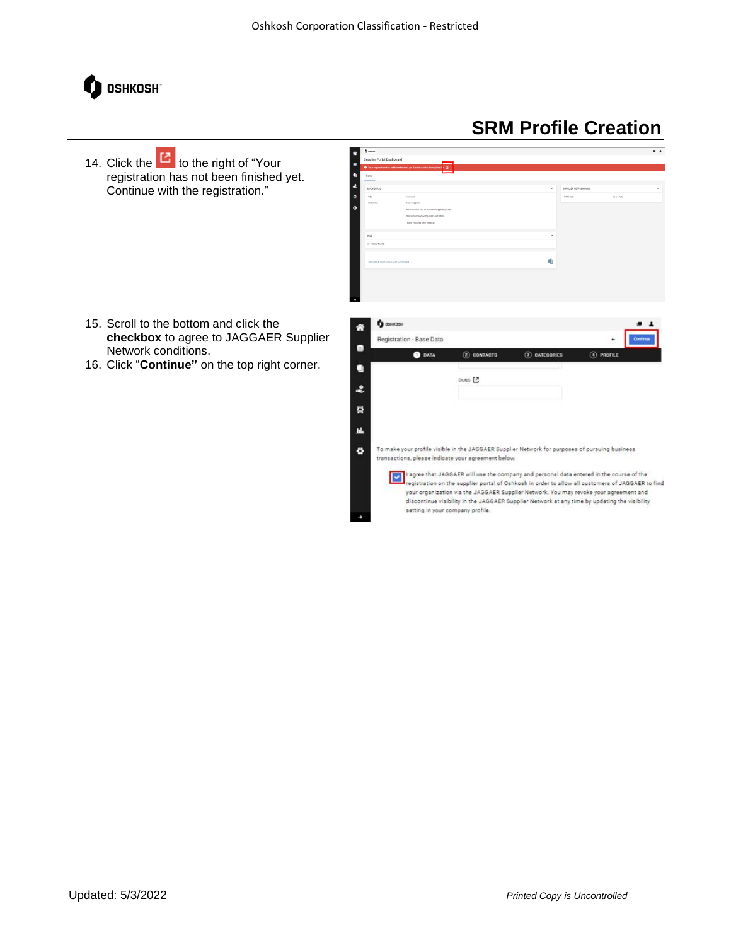

| 14. Click the <b>U</b> to the right of "Your<br>registration has not been finished yet.<br>Continue with the registration."                             | $Q$ counts<br>Supplier Portal Dashboard<br><b>BLACKBOAR</b><br>SUPPLIER PERFORMANC<br><b>DOM BY</b><br>as of two<br><b>Daily Scott</b><br>and was not heat send<br><b>BFO</b><br>No entries four                                                                                                                                                                                                                                                                                                                                                                                                                                                                                                                                                           |
|---------------------------------------------------------------------------------------------------------------------------------------------------------|------------------------------------------------------------------------------------------------------------------------------------------------------------------------------------------------------------------------------------------------------------------------------------------------------------------------------------------------------------------------------------------------------------------------------------------------------------------------------------------------------------------------------------------------------------------------------------------------------------------------------------------------------------------------------------------------------------------------------------------------------------|
| 15. Scroll to the bottom and click the<br>checkbox to agree to JAGGAER Supplier<br>Network conditions.<br>16. Click "Continue" on the top right corner. | <b>Q</b> OSHKOSH<br>Registration - Base Data<br>Continue<br>雛<br>2 CONTACTS<br>$(3)$ CATEGORIES<br>4 PROFILE<br><b>O</b> DATA<br>DUNS <sub>[3</sub><br>2<br>ā<br>To make your profile visible in the JAGGAER Supplier Network for purposes of pursuing business<br>o<br>transactions, please indicate your agreement below.<br>I agree that JAGGAER will use the company and personal data entered in the course of the<br>registration on the supplier portal of Oshkosh in order to allow all oustomers of JAGGAER to find<br>your organization via the JAGGAER Supplier Network. You may revoke your agreement and<br>discontinue visibility in the JAGGAER Supplier Network at any time by updating the visibility<br>setting in your company profile. |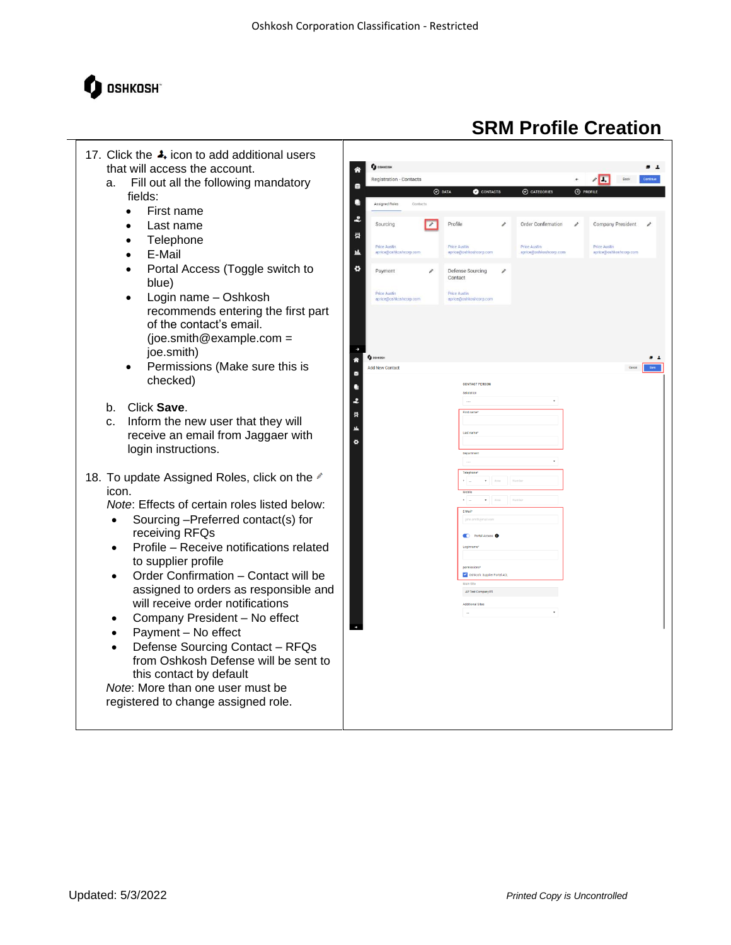

- 17. Click the  $\clubsuit$  icon to add additional users that will access the account.
	- a. Fill out all the following mandatory fields:
		- First name
		- Last name
		- Telephone
		- E-Mail
		- Portal Access (Toggle switch to blue)
		- Login name Oshkosh recommends entering the first part of the contact's email. (joe.smith@example.com = joe.smith)
		- Permissions (Make sure this is checked)
	- b. Click **Save**.
	- c. Inform the new user that they will receive an email from Jaggaer with login instructions.
- 18. To update Assigned Roles, click on the  $\ell$ icon.

*Note*: Effects of certain roles listed below:

- Sourcing –Preferred contact(s) for receiving RFQs
- Profile Receive notifications related to supplier profile
- Order Confirmation Contact will be assigned to orders as responsible and will receive order notifications
- Company President No effect
- Payment No effect
- Defense Sourcing Contact RFQs from Oshkosh Defense will be sent to this contact by default

*Note*: More than one user must be registered to change assigned role.

| a<br><b>4</b> PROFILE<br>$\odot$ DATA<br>CONTACTS<br>$\odot$ categories<br>۰<br>Assigned Roles<br>Contacts<br>2<br>Profile<br>$\overline{\phantom{a}}$<br>Order Confirmation<br>Company President<br>Sourcing<br>i<br>i<br>膏<br>Price Austin<br>Price Austin<br>Price Austin<br><b>Price Austin</b><br>止<br>aprice@oshkoshcorp.com<br>aprice@oshkoshcorp.com<br>aprice@oshkoshcorp.com<br>aprice@oshkoshcorp.com<br>٠<br>Payment<br>Defense Sourcing<br>ì<br>i<br>Contact<br>Price Austin<br>Price Austin<br>aprice@oshkoshcorp.com<br>aprice@oshkoshcorp.com<br>÷<br><b>O</b> OSHKOSH<br>◈<br>Add New Contact<br>Cancel<br>a<br><b>CONTACT PERSON</b><br>$\bullet$<br>Salutation<br>2<br>$\ddot{}$<br>$\cdots$<br>First name<br>륡<br>u.<br>Last name*<br>ø<br>Department<br>÷,<br>$\ldots$<br>Telephone*<br>$+$ $-$<br>$\bullet$ $N03$<br>Number<br>Mobile<br>$+$ $-$<br>$+$ $N03$<br>Numbe<br>E-Mail*<br>john.smith@mail.com<br>C Portal Access O<br>Loginname*<br>permissions*<br>Oshkosh: Supplier Portal ACL<br>Main Site<br>AP Test Company F5<br>Additional Sites | $\sim$ Save<br>$\check{\phantom{a}}$<br>$\sim$ | Registration - Contacts |  | $\leftarrow$ | $\sqrt{\Box}$<br>Back |
|--------------------------------------------------------------------------------------------------------------------------------------------------------------------------------------------------------------------------------------------------------------------------------------------------------------------------------------------------------------------------------------------------------------------------------------------------------------------------------------------------------------------------------------------------------------------------------------------------------------------------------------------------------------------------------------------------------------------------------------------------------------------------------------------------------------------------------------------------------------------------------------------------------------------------------------------------------------------------------------------------------------------------------------------------------------------------|------------------------------------------------|-------------------------|--|--------------|-----------------------|
|                                                                                                                                                                                                                                                                                                                                                                                                                                                                                                                                                                                                                                                                                                                                                                                                                                                                                                                                                                                                                                                                          |                                                |                         |  |              |                       |
|                                                                                                                                                                                                                                                                                                                                                                                                                                                                                                                                                                                                                                                                                                                                                                                                                                                                                                                                                                                                                                                                          |                                                |                         |  |              |                       |
|                                                                                                                                                                                                                                                                                                                                                                                                                                                                                                                                                                                                                                                                                                                                                                                                                                                                                                                                                                                                                                                                          |                                                |                         |  |              |                       |
|                                                                                                                                                                                                                                                                                                                                                                                                                                                                                                                                                                                                                                                                                                                                                                                                                                                                                                                                                                                                                                                                          |                                                |                         |  |              |                       |
|                                                                                                                                                                                                                                                                                                                                                                                                                                                                                                                                                                                                                                                                                                                                                                                                                                                                                                                                                                                                                                                                          |                                                |                         |  |              |                       |
|                                                                                                                                                                                                                                                                                                                                                                                                                                                                                                                                                                                                                                                                                                                                                                                                                                                                                                                                                                                                                                                                          |                                                |                         |  |              |                       |
|                                                                                                                                                                                                                                                                                                                                                                                                                                                                                                                                                                                                                                                                                                                                                                                                                                                                                                                                                                                                                                                                          |                                                |                         |  |              |                       |
|                                                                                                                                                                                                                                                                                                                                                                                                                                                                                                                                                                                                                                                                                                                                                                                                                                                                                                                                                                                                                                                                          |                                                |                         |  |              |                       |
|                                                                                                                                                                                                                                                                                                                                                                                                                                                                                                                                                                                                                                                                                                                                                                                                                                                                                                                                                                                                                                                                          |                                                |                         |  |              |                       |
|                                                                                                                                                                                                                                                                                                                                                                                                                                                                                                                                                                                                                                                                                                                                                                                                                                                                                                                                                                                                                                                                          |                                                |                         |  |              |                       |
|                                                                                                                                                                                                                                                                                                                                                                                                                                                                                                                                                                                                                                                                                                                                                                                                                                                                                                                                                                                                                                                                          |                                                |                         |  |              |                       |
|                                                                                                                                                                                                                                                                                                                                                                                                                                                                                                                                                                                                                                                                                                                                                                                                                                                                                                                                                                                                                                                                          |                                                |                         |  |              |                       |
|                                                                                                                                                                                                                                                                                                                                                                                                                                                                                                                                                                                                                                                                                                                                                                                                                                                                                                                                                                                                                                                                          |                                                |                         |  |              |                       |
|                                                                                                                                                                                                                                                                                                                                                                                                                                                                                                                                                                                                                                                                                                                                                                                                                                                                                                                                                                                                                                                                          |                                                |                         |  |              |                       |
|                                                                                                                                                                                                                                                                                                                                                                                                                                                                                                                                                                                                                                                                                                                                                                                                                                                                                                                                                                                                                                                                          |                                                |                         |  |              |                       |
|                                                                                                                                                                                                                                                                                                                                                                                                                                                                                                                                                                                                                                                                                                                                                                                                                                                                                                                                                                                                                                                                          |                                                |                         |  |              |                       |
|                                                                                                                                                                                                                                                                                                                                                                                                                                                                                                                                                                                                                                                                                                                                                                                                                                                                                                                                                                                                                                                                          |                                                |                         |  |              |                       |
|                                                                                                                                                                                                                                                                                                                                                                                                                                                                                                                                                                                                                                                                                                                                                                                                                                                                                                                                                                                                                                                                          |                                                |                         |  |              |                       |
|                                                                                                                                                                                                                                                                                                                                                                                                                                                                                                                                                                                                                                                                                                                                                                                                                                                                                                                                                                                                                                                                          |                                                |                         |  |              |                       |
|                                                                                                                                                                                                                                                                                                                                                                                                                                                                                                                                                                                                                                                                                                                                                                                                                                                                                                                                                                                                                                                                          |                                                |                         |  |              |                       |
|                                                                                                                                                                                                                                                                                                                                                                                                                                                                                                                                                                                                                                                                                                                                                                                                                                                                                                                                                                                                                                                                          |                                                |                         |  |              |                       |
|                                                                                                                                                                                                                                                                                                                                                                                                                                                                                                                                                                                                                                                                                                                                                                                                                                                                                                                                                                                                                                                                          |                                                |                         |  |              |                       |
|                                                                                                                                                                                                                                                                                                                                                                                                                                                                                                                                                                                                                                                                                                                                                                                                                                                                                                                                                                                                                                                                          |                                                |                         |  |              |                       |
|                                                                                                                                                                                                                                                                                                                                                                                                                                                                                                                                                                                                                                                                                                                                                                                                                                                                                                                                                                                                                                                                          |                                                |                         |  |              |                       |
|                                                                                                                                                                                                                                                                                                                                                                                                                                                                                                                                                                                                                                                                                                                                                                                                                                                                                                                                                                                                                                                                          |                                                |                         |  |              |                       |
|                                                                                                                                                                                                                                                                                                                                                                                                                                                                                                                                                                                                                                                                                                                                                                                                                                                                                                                                                                                                                                                                          |                                                |                         |  |              |                       |
|                                                                                                                                                                                                                                                                                                                                                                                                                                                                                                                                                                                                                                                                                                                                                                                                                                                                                                                                                                                                                                                                          |                                                |                         |  |              |                       |
|                                                                                                                                                                                                                                                                                                                                                                                                                                                                                                                                                                                                                                                                                                                                                                                                                                                                                                                                                                                                                                                                          |                                                |                         |  |              |                       |
|                                                                                                                                                                                                                                                                                                                                                                                                                                                                                                                                                                                                                                                                                                                                                                                                                                                                                                                                                                                                                                                                          |                                                |                         |  |              |                       |
|                                                                                                                                                                                                                                                                                                                                                                                                                                                                                                                                                                                                                                                                                                                                                                                                                                                                                                                                                                                                                                                                          |                                                |                         |  |              |                       |
|                                                                                                                                                                                                                                                                                                                                                                                                                                                                                                                                                                                                                                                                                                                                                                                                                                                                                                                                                                                                                                                                          |                                                |                         |  |              |                       |
|                                                                                                                                                                                                                                                                                                                                                                                                                                                                                                                                                                                                                                                                                                                                                                                                                                                                                                                                                                                                                                                                          |                                                |                         |  |              |                       |
|                                                                                                                                                                                                                                                                                                                                                                                                                                                                                                                                                                                                                                                                                                                                                                                                                                                                                                                                                                                                                                                                          |                                                |                         |  |              |                       |
|                                                                                                                                                                                                                                                                                                                                                                                                                                                                                                                                                                                                                                                                                                                                                                                                                                                                                                                                                                                                                                                                          |                                                |                         |  |              |                       |
|                                                                                                                                                                                                                                                                                                                                                                                                                                                                                                                                                                                                                                                                                                                                                                                                                                                                                                                                                                                                                                                                          |                                                |                         |  |              |                       |
|                                                                                                                                                                                                                                                                                                                                                                                                                                                                                                                                                                                                                                                                                                                                                                                                                                                                                                                                                                                                                                                                          |                                                |                         |  |              |                       |
|                                                                                                                                                                                                                                                                                                                                                                                                                                                                                                                                                                                                                                                                                                                                                                                                                                                                                                                                                                                                                                                                          |                                                |                         |  |              |                       |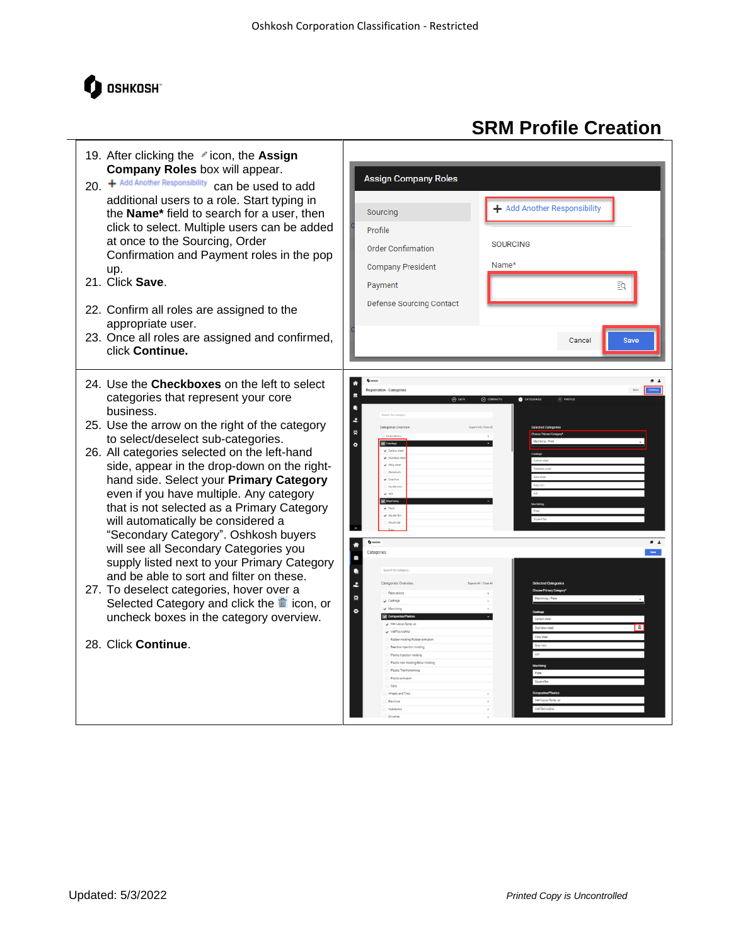

#### 19. After clicking the *i* con, the **Assign Company Roles** box will appear. **Assign Company Roles** 20. + Add Another Responsibility can be used to add additional users to a role. Start typing in + Add Another Responsibility Sourcing the **Name\*** field to search for a user, then click to select. Multiple users can be added Profile at once to the Sourcing, Order SOURCING Order Confirmation Confirmation and Payment roles in the pop Name\* **Company President** up. 21. Click **Save**. Payment Defense Sourcing Contact 22. Confirm all roles are assigned to the appropriate user. 23. Once all roles are assigned and confirmed, Cancel click **Continue.** 24. Use the **Checkboxes** on the left to select categories that represent your core business.  $\ddot{\bm{z}}$ 25. Use the arrow on the right of the category 륳 to select/deselect sub-categories. ø 26. All categories selected on the left-hand side, appear in the drop-down on the righthand side. Select your **Primary Category** even if you have multiple. Any category that is not selected as a Primary Category will automatically be considered a "Secondary Category". Oshkosh buyers will see all Secondary Categories you G supply listed next to your Primary Category  $\bullet$ and be able to sort and filter on these.  $\ddot{\bm{z}}$ 27. To deselect categories, hover over a Selected Category and click the  $\frac{m}{2}$  icon, or  $\ddot{\mathbf{q}}$ uncheck boxes in the category overview. 28. Click **Continue**.

# **SRM Profile Creation**

ΞQ

 $\overline{\phantom{0}}$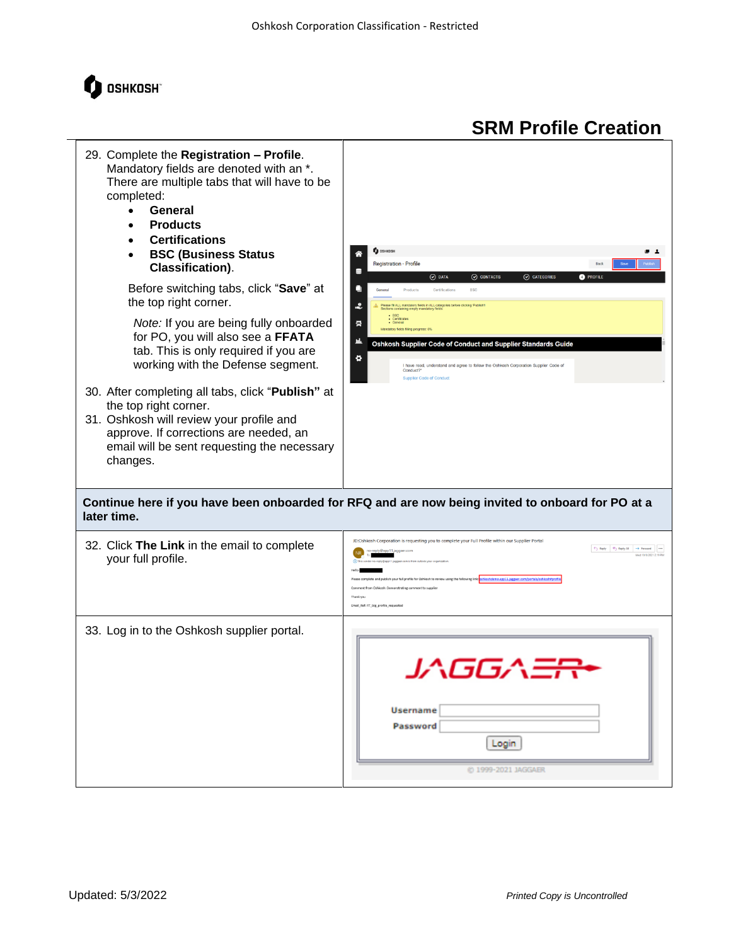

| 29. Complete the Registration - Profile.<br>Mandatory fields are denoted with an *.<br>There are multiple tabs that will have to be<br>completed:<br>General<br>$\bullet$<br><b>Products</b><br><b>Certifications</b><br><b>BSC (Business Status</b><br><b>Classification).</b><br>Before switching tabs, click "Save" at<br>the top right corner.<br>Note: If you are being fully onboarded<br>for PO, you will also see a FFATA<br>tab. This is only required if you are<br>working with the Defense segment.<br>30. After completing all tabs, click "Publish" at<br>the top right corner.<br>31. Oshkosh will review your profile and<br>approve. If corrections are needed, an<br>email will be sent requesting the necessary<br>changes.<br>later time. | <b>O</b> OSHKOSH<br><b>Registration - Profile</b><br>$\odot$ DATA<br>$\odot$ CONTACTS<br>$\odot$ CATEGORIES<br><b>O</b> PROFILE<br>Certification<br><b>BSC</b><br>≗<br>rase fill ALL mandatory fields in ALL categories before clicking 'Publish<br>clions containing empty mandatory fields:<br>- BSC<br>- Certificates<br>- General<br>륩<br>Mandatory fields filling progress: 0%<br>凪<br>Oshkosh Supplier Code of Conduct and Supplier Standards Guide<br>٠<br>I have read, understand and agree to follow the Oshkosh Corporation Supplier Code of<br>Conduct?*<br><b>Supplier Code of Conduct</b><br>Continue here if you have been onboarded for RFQ and are now being invited to onboard for PO at a |
|---------------------------------------------------------------------------------------------------------------------------------------------------------------------------------------------------------------------------------------------------------------------------------------------------------------------------------------------------------------------------------------------------------------------------------------------------------------------------------------------------------------------------------------------------------------------------------------------------------------------------------------------------------------------------------------------------------------------------------------------------------------|-------------------------------------------------------------------------------------------------------------------------------------------------------------------------------------------------------------------------------------------------------------------------------------------------------------------------------------------------------------------------------------------------------------------------------------------------------------------------------------------------------------------------------------------------------------------------------------------------------------------------------------------------------------------------------------------------------------|
| 32. Click The Link in the email to complete<br>your full profile.                                                                                                                                                                                                                                                                                                                                                                                                                                                                                                                                                                                                                                                                                             | JD:Oshkosh Corporation is requesting you to complete your Full Profile within our Supplier Portal<br>$\leftarrow$ Reply $\leftarrow$ Reply All $\rightarrow$ Forward<br>y@app11.jaggaer.com<br>Ned 10/6/2021 2-10 09/<br>shkoshdemo.app11.jaggaer.com/portals/osh<br>d publish your full profile for Oshkosh to review using the following link:<br>ent from Oshkosh: Demonstrating comment to suppli<br>Thank you<br>Email_Ref: RT_big_profile_requested                                                                                                                                                                                                                                                   |
| 33. Log in to the Oshkosh supplier portal.                                                                                                                                                                                                                                                                                                                                                                                                                                                                                                                                                                                                                                                                                                                    | י–י שט ע<br><b>Username</b><br>Password<br>Login<br>© 1999-2021 JAGGAER                                                                                                                                                                                                                                                                                                                                                                                                                                                                                                                                                                                                                                     |